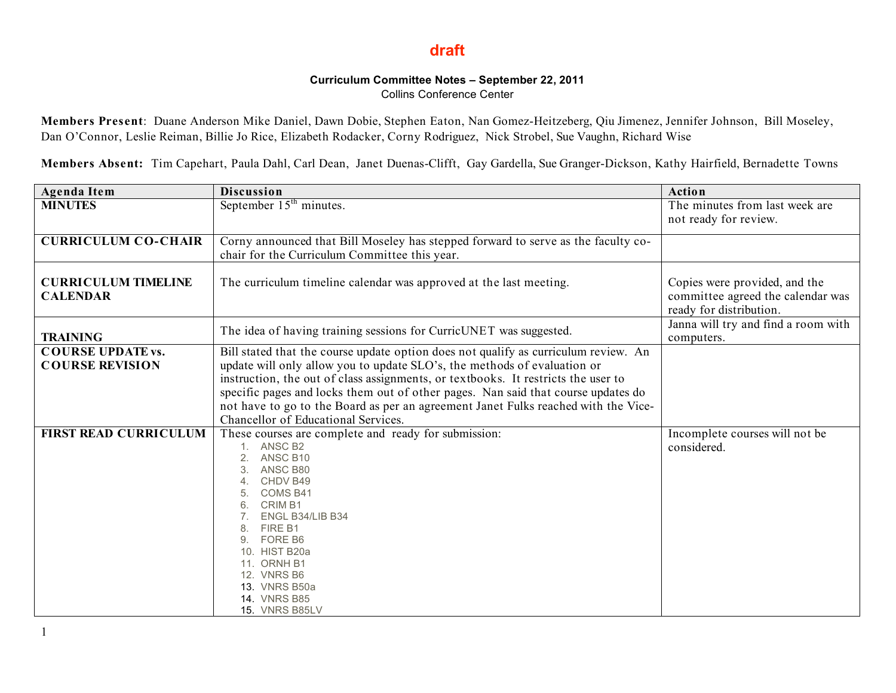## **draft**

## **Curriculum Committee Notes – September 22, 2011**

Collins Conference Center

**Members Present**: Duane Anderson Mike Daniel, Dawn Dobie, Stephen Eaton, Nan Gomez-Heitzeberg, Qiu Jimenez, Jennifer Johnson, Bill Moseley, Dan O'Connor, Leslie Reiman, Billie Jo Rice, Elizabeth Rodacker, Corny Rodriguez, Nick Strobel, Sue Vaughn, Richard Wise

**Members Absent:** Tim Capehart, Paula Dahl, Carl Dean, Janet Duenas-Clifft, Gay Gardella, Sue Granger-Dickson, Kathy Hairfield, Bernadette Towns

| <b>Agenda Item</b>                            | <b>Discussion</b>                                                                                                                                                       | <b>Action</b>                                                                                 |
|-----------------------------------------------|-------------------------------------------------------------------------------------------------------------------------------------------------------------------------|-----------------------------------------------------------------------------------------------|
| <b>MINUTES</b>                                | September $15th$ minutes.                                                                                                                                               | The minutes from last week are                                                                |
|                                               |                                                                                                                                                                         | not ready for review.                                                                         |
| <b>CURRICULUM CO-CHAIR</b>                    | Corny announced that Bill Moseley has stepped forward to serve as the faculty co-                                                                                       |                                                                                               |
|                                               | chair for the Curriculum Committee this year.                                                                                                                           |                                                                                               |
| <b>CURRICULUM TIMELINE</b><br><b>CALENDAR</b> | The curriculum timeline calendar was approved at the last meeting.                                                                                                      | Copies were provided, and the<br>committee agreed the calendar was<br>ready for distribution. |
| <b>TRAINING</b>                               | The idea of having training sessions for CurricUNET was suggested.                                                                                                      | Janna will try and find a room with<br>computers.                                             |
| <b>COURSE UPDATE vs.</b>                      | Bill stated that the course update option does not qualify as curriculum review. An                                                                                     |                                                                                               |
| <b>COURSE REVISION</b>                        | update will only allow you to update SLO's, the methods of evaluation or                                                                                                |                                                                                               |
|                                               | instruction, the out of class assignments, or textbooks. It restricts the user to                                                                                       |                                                                                               |
|                                               | specific pages and locks them out of other pages. Nan said that course updates do<br>not have to go to the Board as per an agreement Janet Fulks reached with the Vice- |                                                                                               |
|                                               | Chancellor of Educational Services.                                                                                                                                     |                                                                                               |
| <b>FIRST READ CURRICULUM</b>                  | These courses are complete and ready for submission:                                                                                                                    | Incomplete courses will not be                                                                |
|                                               | 1. ANSC B2                                                                                                                                                              | considered.                                                                                   |
|                                               | ANSC B10<br>ANSC B80                                                                                                                                                    |                                                                                               |
|                                               | 4. CHDV B49                                                                                                                                                             |                                                                                               |
|                                               | COMS B41                                                                                                                                                                |                                                                                               |
|                                               | CRIM B1<br>6.                                                                                                                                                           |                                                                                               |
|                                               | ENGL B34/LIB B34<br>FIRE B1<br>8.                                                                                                                                       |                                                                                               |
|                                               | FORE B6<br>9.                                                                                                                                                           |                                                                                               |
|                                               | 10. HIST B20a                                                                                                                                                           |                                                                                               |
|                                               | 11. ORNH B1<br>12. VNRS B6                                                                                                                                              |                                                                                               |
|                                               | 13. VNRS B50a                                                                                                                                                           |                                                                                               |
|                                               | <b>14. VNRS B85</b>                                                                                                                                                     |                                                                                               |
|                                               | <b>15. VNRS B85LV</b>                                                                                                                                                   |                                                                                               |

1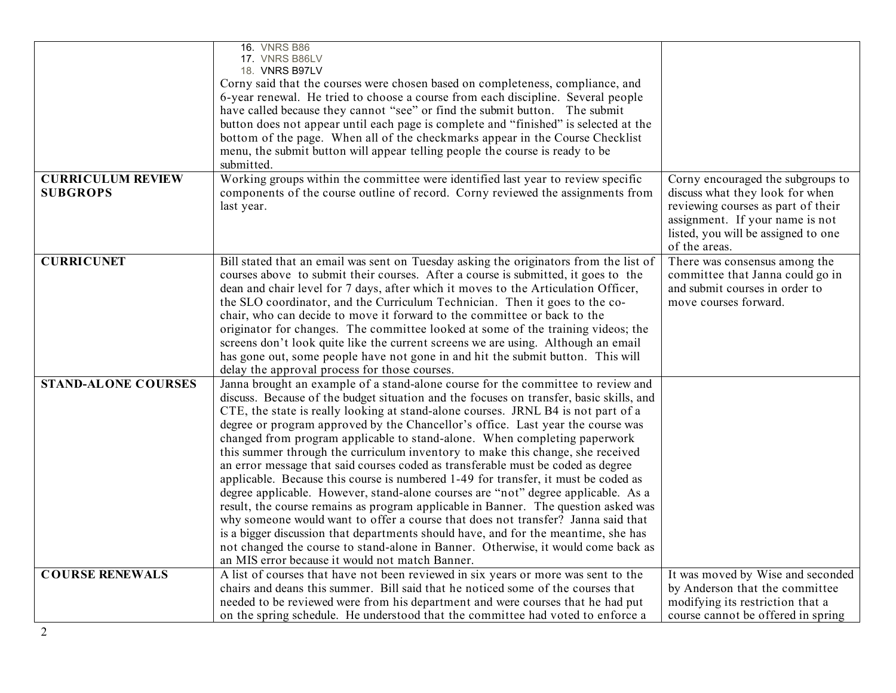| <b>CURRICULUM REVIEW</b><br><b>SUBGROPS</b> | <b>16. VNRS B86</b><br>17. VNRS B86LV<br>18. VNRS B97LV<br>Corny said that the courses were chosen based on completeness, compliance, and<br>6-year renewal. He tried to choose a course from each discipline. Several people<br>have called because they cannot "see" or find the submit button. The submit<br>button does not appear until each page is complete and "finished" is selected at the<br>bottom of the page. When all of the checkmarks appear in the Course Checklist<br>menu, the submit button will appear telling people the course is ready to be<br>submitted.<br>Working groups within the committee were identified last year to review specific<br>components of the course outline of record. Corny reviewed the assignments from<br>last year.                                                                                                                                                                                                                                                                                                                                                                                                                  | Corny encouraged the subgroups to<br>discuss what they look for when<br>reviewing courses as part of their<br>assignment. If your name is not |
|---------------------------------------------|-------------------------------------------------------------------------------------------------------------------------------------------------------------------------------------------------------------------------------------------------------------------------------------------------------------------------------------------------------------------------------------------------------------------------------------------------------------------------------------------------------------------------------------------------------------------------------------------------------------------------------------------------------------------------------------------------------------------------------------------------------------------------------------------------------------------------------------------------------------------------------------------------------------------------------------------------------------------------------------------------------------------------------------------------------------------------------------------------------------------------------------------------------------------------------------------|-----------------------------------------------------------------------------------------------------------------------------------------------|
|                                             |                                                                                                                                                                                                                                                                                                                                                                                                                                                                                                                                                                                                                                                                                                                                                                                                                                                                                                                                                                                                                                                                                                                                                                                           | listed, you will be assigned to one<br>of the areas.                                                                                          |
| <b>CURRICUNET</b>                           | Bill stated that an email was sent on Tuesday asking the originators from the list of<br>courses above to submit their courses. After a course is submitted, it goes to the<br>dean and chair level for 7 days, after which it moves to the Articulation Officer,<br>the SLO coordinator, and the Curriculum Technician. Then it goes to the co-<br>chair, who can decide to move it forward to the committee or back to the<br>originator for changes. The committee looked at some of the training videos; the<br>screens don't look quite like the current screens we are using. Although an email<br>has gone out, some people have not gone in and hit the submit button. This will<br>delay the approval process for those courses.                                                                                                                                                                                                                                                                                                                                                                                                                                                 | There was consensus among the<br>committee that Janna could go in<br>and submit courses in order to<br>move courses forward.                  |
| <b>STAND-ALONE COURSES</b>                  | Janna brought an example of a stand-alone course for the committee to review and<br>discuss. Because of the budget situation and the focuses on transfer, basic skills, and<br>CTE, the state is really looking at stand-alone courses. JRNL B4 is not part of a<br>degree or program approved by the Chancellor's office. Last year the course was<br>changed from program applicable to stand-alone. When completing paperwork<br>this summer through the curriculum inventory to make this change, she received<br>an error message that said courses coded as transferable must be coded as degree<br>applicable. Because this course is numbered 1-49 for transfer, it must be coded as<br>degree applicable. However, stand-alone courses are "not" degree applicable. As a<br>result, the course remains as program applicable in Banner. The question asked was<br>why someone would want to offer a course that does not transfer? Janna said that<br>is a bigger discussion that departments should have, and for the meantime, she has<br>not changed the course to stand-alone in Banner. Otherwise, it would come back as<br>an MIS error because it would not match Banner. |                                                                                                                                               |
| <b>COURSE RENEWALS</b><br>2                 | A list of courses that have not been reviewed in six years or more was sent to the<br>chairs and deans this summer. Bill said that he noticed some of the courses that<br>needed to be reviewed were from his department and were courses that he had put<br>on the spring schedule. He understood that the committee had voted to enforce a                                                                                                                                                                                                                                                                                                                                                                                                                                                                                                                                                                                                                                                                                                                                                                                                                                              | It was moved by Wise and seconded<br>by Anderson that the committee<br>modifying its restriction that a<br>course cannot be offered in spring |